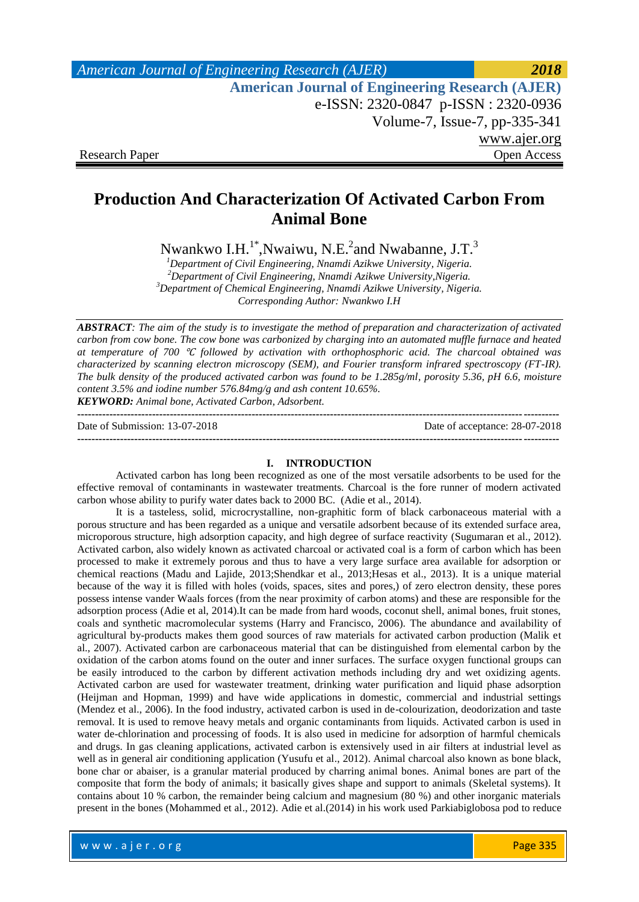| American Journal of Engineering Research (AJER)        | 2018         |
|--------------------------------------------------------|--------------|
| <b>American Journal of Engineering Research (AJER)</b> |              |
| e-ISSN: 2320-0847 p-ISSN: 2320-0936                    |              |
| Volume-7, Issue-7, pp-335-341                          |              |
|                                                        | www.ajer.org |
| <b>Research Paper</b>                                  | Open Access  |

# **Production And Characterization Of Activated Carbon From Animal Bone**

Nwankwo I.H.<sup>1\*</sup>, Nwaiwu, N.E.<sup>2</sup> and Nwabanne, J.T.<sup>3</sup>

*Department of Civil Engineering, Nnamdi Azikwe University, Nigeria. Department of Civil Engineering, Nnamdi Azikwe University,Nigeria. Department of Chemical Engineering, Nnamdi Azikwe University, Nigeria. Corresponding Author: Nwankwo I.H*

*ABSTRACT: The aim of the study is to investigate the method of preparation and characterization of activated carbon from cow bone. The cow bone was carbonized by charging into an automated muffle furnace and heated at temperature of 700* ℃ *followed by activation with orthophosphoric acid. The charcoal obtained was characterized by scanning electron microscopy (SEM), and Fourier transform infrared spectroscopy (FT-IR). The bulk density of the produced activated carbon was found to be 1.285g/ml, porosity 5.36, pH 6.6, moisture content 3.5% and iodine number 576.84mg/g and ash content 10.65%. KEYWORD: Animal bone, Activated Carbon, Adsorbent.*

| Date of Submission: 13-07-2018 | Date of acceptance: 28-07-2018 |
|--------------------------------|--------------------------------|
|                                |                                |

### **I. INTRODUCTION**

Activated carbon has long been recognized as one of the most versatile adsorbents to be used for the effective removal of contaminants in wastewater treatments. Charcoal is the fore runner of modern activated carbon whose ability to purify water dates back to 2000 BC. (Adie et al., 2014).

It is a tasteless, solid, microcrystalline, non-graphitic form of black carbonaceous material with a porous structure and has been regarded as a unique and versatile adsorbent because of its extended surface area, microporous structure, high adsorption capacity, and high degree of surface reactivity (Sugumaran et al., 2012). Activated carbon, also widely known as activated charcoal or activated coal is a form of carbon which has been processed to make it extremely porous and thus to have a very large surface area available for adsorption or chemical reactions (Madu and Lajide, 2013;Shendkar et al., 2013;Hesas et al., 2013). It is a unique material because of the way it is filled with holes (voids, spaces, sites and pores,) of zero electron density, these pores possess intense vander Waals forces (from the near proximity of carbon atoms) and these are responsible for the adsorption process (Adie et al, 2014).It can be made from hard woods, coconut shell, animal bones, fruit stones, coals and synthetic macromolecular systems (Harry and Francisco, 2006). The abundance and availability of agricultural by-products makes them good sources of raw materials for activated carbon production (Malik et al., 2007). Activated carbon are carbonaceous material that can be distinguished from elemental carbon by the oxidation of the carbon atoms found on the outer and inner surfaces. The surface oxygen functional groups can be easily introduced to the carbon by different activation methods including dry and wet oxidizing agents. Activated carbon are used for wastewater treatment, drinking water purification and liquid phase adsorption (Heijman and Hopman, 1999) and have wide applications in domestic, commercial and industrial settings (Mendez et al., 2006). In the food industry, activated carbon is used in de-colourization, deodorization and taste removal. It is used to remove heavy metals and organic contaminants from liquids. Activated carbon is used in water de-chlorination and processing of foods. It is also used in medicine for adsorption of harmful chemicals and drugs. In gas cleaning applications, activated carbon is extensively used in air filters at industrial level as well as in general air conditioning application (Yusufu et al., 2012). Animal charcoal also known as bone black, bone char or abaiser, is a granular material produced by charring animal bones. Animal bones are part of the composite that form the body of animals; it basically gives shape and support to animals (Skeletal systems). It contains about 10 % carbon, the remainder being calcium and magnesium (80 %) and other inorganic materials present in the bones (Mohammed et al., 2012). Adie et al.(2014) in his work used Parkiabiglobosa pod to reduce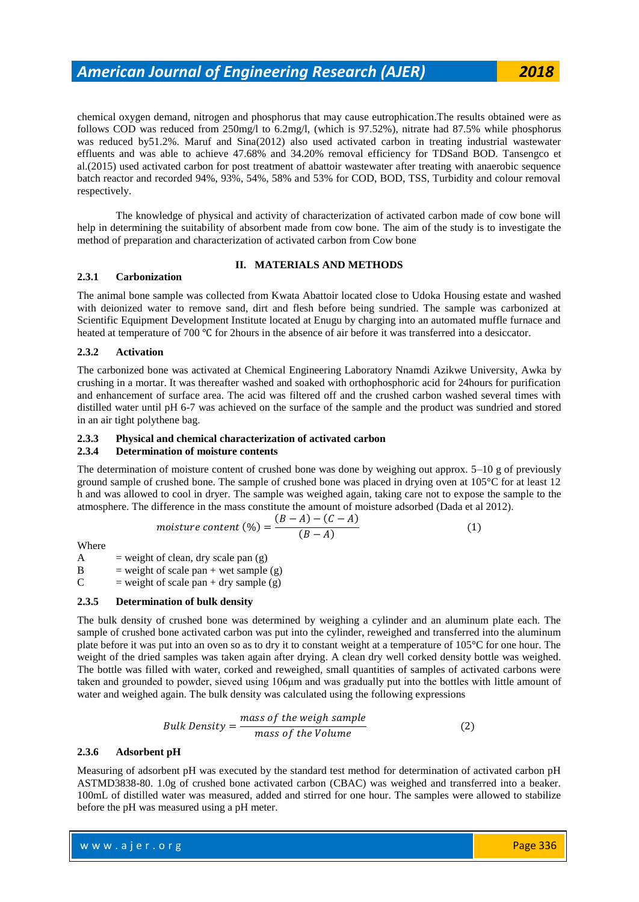# *American Journal of Engineering Research (AJER) 2018*

chemical oxygen demand, nitrogen and phosphorus that may cause eutrophication.The results obtained were as follows COD was reduced from 250mg/l to 6.2mg/l, (which is 97.52%), nitrate had 87.5% while phosphorus was reduced by51.2%. Maruf and Sina(2012) also used activated carbon in treating industrial wastewater effluents and was able to achieve 47.68% and 34.20% removal efficiency for TDSand BOD. Tansengco et al.(2015) used activated carbon for post treatment of abattoir wastewater after treating with anaerobic sequence batch reactor and recorded 94%, 93%, 54%, 58% and 53% for COD, BOD, TSS, Turbidity and colour removal respectively.

The knowledge of physical and activity of characterization of activated carbon made of cow bone will help in determining the suitability of absorbent made from cow bone. The aim of the study is to investigate the method of preparation and characterization of activated carbon from Cow bone

# **II. MATERIALS AND METHODS**

#### **2.3.1 Carbonization**

The animal bone sample was collected from Kwata Abattoir located close to Udoka Housing estate and washed with deionized water to remove sand, dirt and flesh before being sundried. The sample was carbonized at Scientific Equipment Development Institute located at Enugu by charging into an automated muffle furnace and heated at temperature of 700 ℃ for 2hours in the absence of air before it was transferred into a desiccator.

#### **2.3.2 Activation**

The carbonized bone was activated at Chemical Engineering Laboratory Nnamdi Azikwe University, Awka by crushing in a mortar. It was thereafter washed and soaked with orthophosphoric acid for 24hours for purification and enhancement of surface area. The acid was filtered off and the crushed carbon washed several times with distilled water until pH 6-7 was achieved on the surface of the sample and the product was sundried and stored in an air tight polythene bag.

# **2.3.3 Physical and chemical characterization of activated carbon**

#### **2.3.4 Determination of moisture contents**

The determination of moisture content of crushed bone was done by weighing out approx. 5–10 g of previously ground sample of crushed bone. The sample of crushed bone was placed in drying oven at 105°C for at least 12 h and was allowed to cool in dryer. The sample was weighed again, taking care not to expose the sample to the atmosphere. The difference in the mass constitute the amount of moisture adsorbed (Dada et al 2012).

$$
moisture content\ (\%) = \frac{(B-A)-(C-A)}{(B-A)}\tag{1}
$$

Where

A = weight of clean, dry scale pan  $(g)$ 

B = weight of scale pan + wet sample (g)

C = weight of scale pan + dry sample (g)

#### **2.3.5 Determination of bulk density**

The bulk density of crushed bone was determined by weighing a cylinder and an aluminum plate each. The sample of crushed bone activated carbon was put into the cylinder, reweighed and transferred into the aluminum plate before it was put into an oven so as to dry it to constant weight at a temperature of 105°C for one hour. The weight of the dried samples was taken again after drying. A clean dry well corked density bottle was weighed. The bottle was filled with water, corked and reweighed, small quantities of samples of activated carbons were taken and grounded to powder, sieved using 106μm and was gradually put into the bottles with little amount of water and weighed again. The bulk density was calculated using the following expressions

*Bulk Density* = 
$$
\frac{mass \ of \ the \ weight \ sample}{mass \ of \ the \ Volume}
$$
 (2)

#### **2.3.6 Adsorbent pH**

Measuring of adsorbent pH was executed by the standard test method for determination of activated carbon pH ASTMD3838-80. 1.0g of crushed bone activated carbon (CBAC) was weighed and transferred into a beaker. 100mL of distilled water was measured, added and stirred for one hour. The samples were allowed to stabilize before the pH was measured using a pH meter.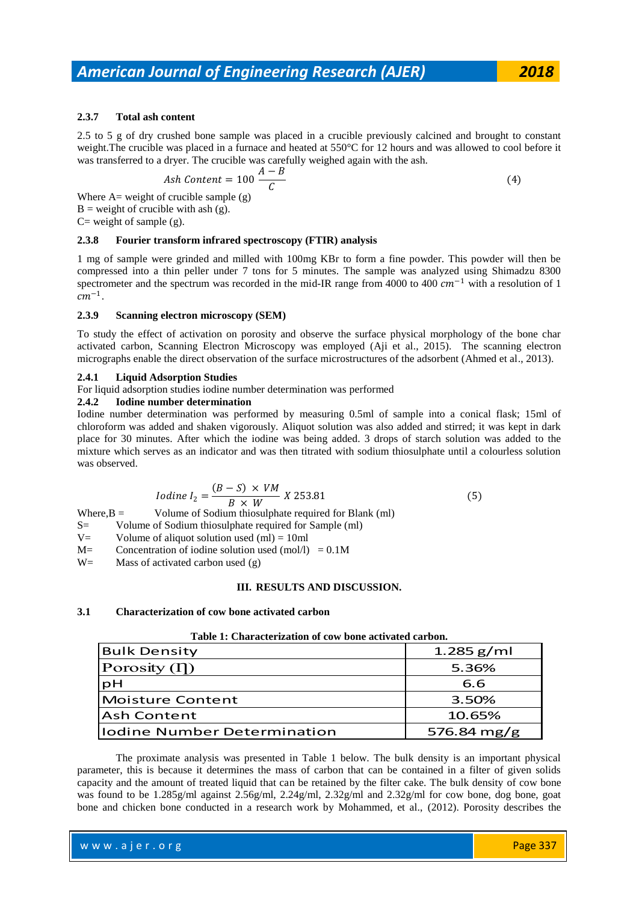# **2.3.7 Total ash content**

2.5 to 5 g of dry crushed bone sample was placed in a crucible previously calcined and brought to constant weight.The crucible was placed in a furnace and heated at 550°C for 12 hours and was allowed to cool before it was transferred to a dryer. The crucible was carefully weighed again with the ash.

$$
Ash Content = 100 \frac{A - B}{C}
$$
\n(4)

Where  $A=$  weight of crucible sample  $(g)$  $B =$  weight of crucible with ash (g).  $C=$  weight of sample (g).

# **2.3.8 Fourier transform infrared spectroscopy (FTIR) analysis**

1 mg of sample were grinded and milled with 100mg KBr to form a fine powder. This powder will then be compressed into a thin peller under 7 tons for 5 minutes. The sample was analyzed using Shimadzu 8300 spectrometer and the spectrum was recorded in the mid-IR range from 4000 to 400  $cm^{-1}$  with a resolution of 1  $cm^{-1}$ .

#### **2.3.9 Scanning electron microscopy (SEM)**

To study the effect of activation on porosity and observe the surface physical morphology of the bone char activated carbon, Scanning Electron Microscopy was employed (Aji et al., 2015). The scanning electron micrographs enable the direct observation of the surface microstructures of the adsorbent (Ahmed et al., 2013).

#### **2.4.1 Liquid Adsorption Studies**

For liquid adsorption studies iodine number determination was performed

#### **2.4.2 Iodine number determination**

Iodine number determination was performed by measuring 0.5ml of sample into a conical flask; 15ml of chloroform was added and shaken vigorously. Aliquot solution was also added and stirred; it was kept in dark place for 30 minutes. After which the iodine was being added. 3 drops of starch solution was added to the mixture which serves as an indicator and was then titrated with sodium thiosulphate until a colourless solution was observed.

$$
Iodine I_2 = \frac{(B - S) \times VM}{B \times W} \times 253.81\tag{5}
$$

Where, $B =$  Volume of Sodium thiosulphate required for Blank (ml)

- S= Volume of Sodium thiosulphate required for Sample (ml)
- $V=$  Volume of aliquot solution used (ml) = 10ml
- $M=$  Concentration of iodine solution used (mol/l) = 0.1M

 $W=$  Mass of activated carbon used  $(g)$ 

## **III. RESULTS AND DISCUSSION.**

#### **3.1 Characterization of cow bone activated carbon**

| Table 1: Characterization of cow bone activated carbon. |
|---------------------------------------------------------|
|---------------------------------------------------------|

| <b>Bulk Density</b>                | 1.285 $g/ml$ |
|------------------------------------|--------------|
| Porosity $(1)$                     | 5.36%        |
| pH                                 | 6.6          |
| <b>Moisture Content</b>            | 3.50%        |
| <b>Ash Content</b>                 | 10.65%       |
| <b>Iodine Number Determination</b> | 576.84 mg/g  |

The proximate analysis was presented in Table 1 below. The bulk density is an important physical parameter, this is because it determines the mass of carbon that can be contained in a filter of given solids capacity and the amount of treated liquid that can be retained by the filter cake. The bulk density of cow bone was found to be 1.285g/ml against 2.56g/ml, 2.24g/ml, 2.32g/ml and 2.32g/ml for cow bone, dog bone, goat bone and chicken bone conducted in a research work by Mohammed, et al., (2012). Porosity describes the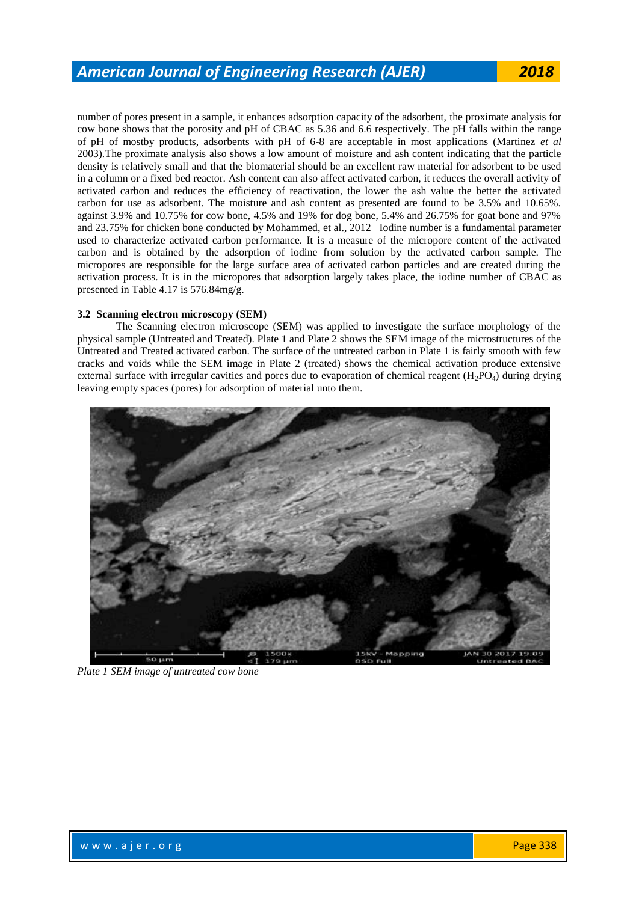number of pores present in a sample, it enhances adsorption capacity of the adsorbent, the proximate analysis for cow bone shows that the porosity and pH of CBAC as 5.36 and 6.6 respectively. The pH falls within the range of pH of mostby products, adsorbents with pH of 6-8 are acceptable in most applications (Martinez *et al*  2003).The proximate analysis also shows a low amount of moisture and ash content indicating that the particle density is relatively small and that the biomaterial should be an excellent raw material for adsorbent to be used in a column or a fixed bed reactor. Ash content can also affect activated carbon, it reduces the overall activity of activated carbon and reduces the efficiency of reactivation, the lower the ash value the better the activated carbon for use as adsorbent. The moisture and ash content as presented are found to be 3.5% and 10.65%. against 3.9% and 10.75% for cow bone, 4.5% and 19% for dog bone, 5.4% and 26.75% for goat bone and 97% and 23.75% for chicken bone conducted by Mohammed, et al., 2012 Iodine number is a fundamental parameter used to characterize activated carbon performance. It is a measure of the micropore content of the activated carbon and is obtained by the adsorption of iodine from solution by the activated carbon sample. The micropores are responsible for the large surface area of activated carbon particles and are created during the activation process. It is in the micropores that adsorption largely takes place, the iodine number of CBAC as presented in Table 4.17 is 576.84mg/g.

#### **3.2 Scanning electron microscopy (SEM)**

The Scanning electron microscope (SEM) was applied to investigate the surface morphology of the physical sample (Untreated and Treated). Plate 1 and Plate 2 shows the SEM image of the microstructures of the Untreated and Treated activated carbon. The surface of the untreated carbon in Plate 1 is fairly smooth with few cracks and voids while the SEM image in Plate 2 (treated) shows the chemical activation produce extensive external surface with irregular cavities and pores due to evaporation of chemical reagent  $(H_2PO_4)$  during drying leaving empty spaces (pores) for adsorption of material unto them.



*Plate 1 SEM image of untreated cow bone*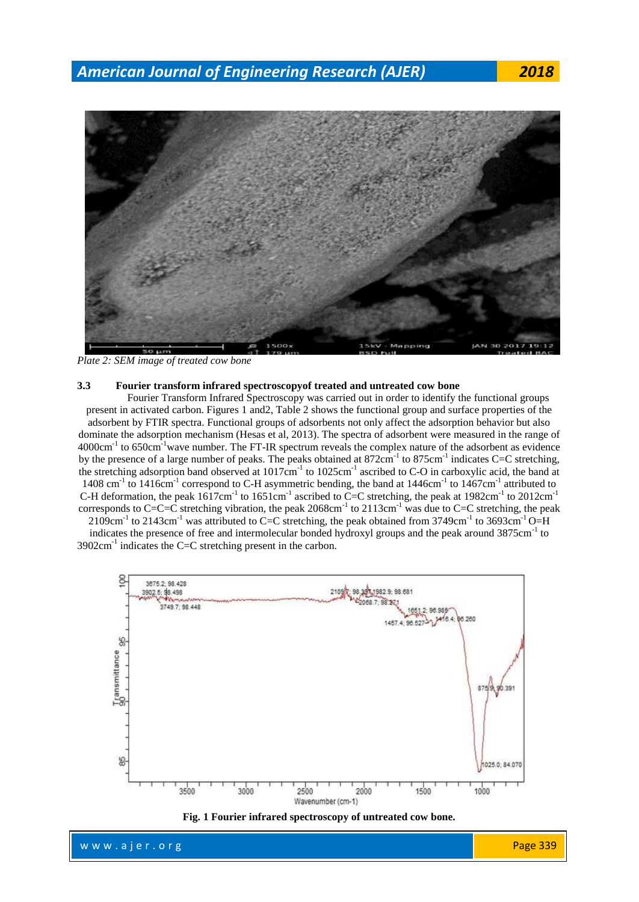*American Journal of Engineering Research (AJER) 2018*



*Plate 2: SEM image of treated cow bone*

#### **3.3 Fourier transform infrared spectroscopyof treated and untreated cow bone**

Fourier Transform Infrared Spectroscopy was carried out in order to identify the functional groups present in activated carbon. Figures 1 and2, Table 2 shows the functional group and surface properties of the adsorbent by FTIR spectra. Functional groups of adsorbents not only affect the adsorption behavior but also dominate the adsorption mechanism (Hesas et al, 2013). The spectra of adsorbent were measured in the range of  $4000 \text{cm}^{-1}$  to 650cm<sup>-1</sup> wave number. The FT-IR spectrum reveals the complex nature of the adsorbent as evidence by the presence of a large number of peaks. The peaks obtained at  $872 \text{cm}^{-1}$  to  $875 \text{cm}^{-1}$  indicates C=C stretching, the stretching adsorption band observed at 1017cm<sup>-1</sup> to 1025cm<sup>-1</sup> ascribed to C-O in carboxylic acid, the band at 1408 cm<sup>-1</sup> to 1416cm<sup>-1</sup> correspond to C-H asymmetric bending, the band at 1446cm<sup>-1</sup> to 1467cm<sup>-1</sup> attributed to C-H deformation, the peak  $1617 \text{cm}^{-1}$  to  $1651 \text{cm}^{-1}$  ascribed to C=C stretching, the peak at  $1982 \text{cm}^{-1}$  to  $2012 \text{cm}^{-1}$ corresponds to C=C=C stretching vibration, the peak  $2068 \text{cm}^{-1}$  to  $2113 \text{cm}^{-1}$  was due to C=C stretching, the peak  $2109cm^{-1}$  to  $2143cm^{-1}$  was attributed to C=C stretching, the peak obtained from 3749cm<sup>-1</sup> to 3693cm<sup>-1</sup> O=H

indicates the presence of free and intermolecular bonded hydroxyl groups and the peak around 3875cm<sup>-1</sup> to  $3902 \text{cm}^{-1}$  indicates the C=C stretching present in the carbon.



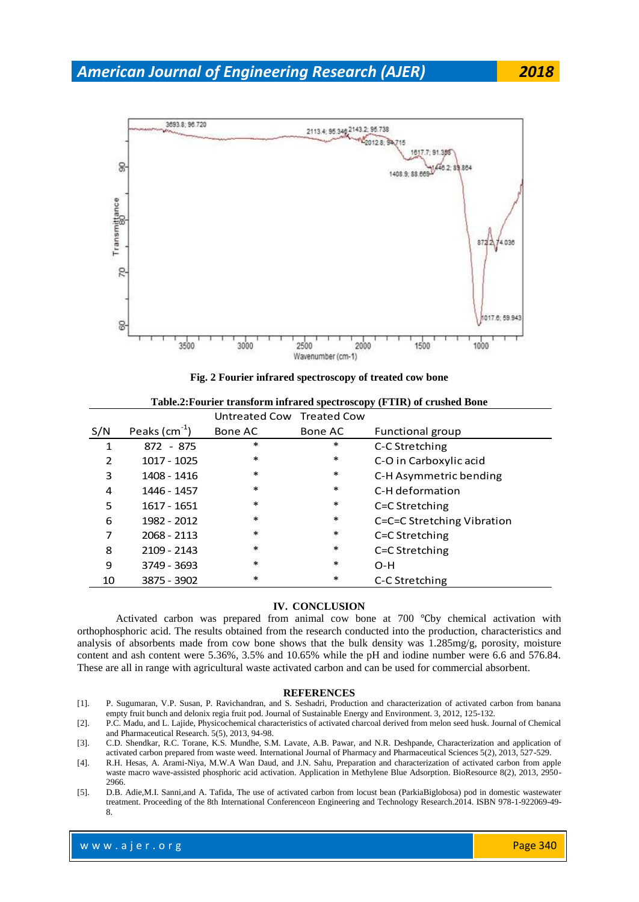



**Fig. 2 Fourier infrared spectroscopy of treated cow bone**

|  |  |  |  | Table.2: Fourier transform infrared spectroscopy (FTIR) of crushed Bone |  |
|--|--|--|--|-------------------------------------------------------------------------|--|
|--|--|--|--|-------------------------------------------------------------------------|--|

|     |                | Untreated Cow Treated Cow |         |                            |
|-----|----------------|---------------------------|---------|----------------------------|
| S/N | Peaks $(cm-1)$ | Bone AC                   | Bone AC | Functional group           |
| 1   | 872 - 875      | $\ast$                    | $\ast$  | C-C Stretching             |
| 2   | 1017 - 1025    | $\ast$                    | $\ast$  | C-O in Carboxylic acid     |
| 3   | 1408 - 1416    | $\ast$                    | $\ast$  | C-H Asymmetric bending     |
| 4   | 1446 - 1457    | $\ast$                    | $\ast$  | C-H deformation            |
| 5   | 1617 - 1651    | $\ast$                    | $\ast$  | C=C Stretching             |
| 6   | 1982 - 2012    | $\ast$                    | $\ast$  | C=C=C Stretching Vibration |
| 7   | 2068 - 2113    | $\ast$                    | $\ast$  | C=C Stretching             |
| 8   | 2109 - 2143    | $\ast$                    | $\ast$  | C=C Stretching             |
| 9   | 3749 - 3693    | $\ast$                    | $\ast$  | $O-H$                      |
| 10  | 3875 - 3902    | $\ast$                    | $\ast$  | C-C Stretching             |

## **IV. CONCLUSION**

Activated carbon was prepared from animal cow bone at 700 ℃by chemical activation with orthophosphoric acid. The results obtained from the research conducted into the production, characteristics and analysis of absorbents made from cow bone shows that the bulk density was 1.285mg/g, porosity, moisture content and ash content were 5.36%, 3.5% and 10.65% while the pH and iodine number were 6.6 and 576.84. These are all in range with agricultural waste activated carbon and can be used for commercial absorbent.

#### **REFERENCES**

- [1]. P. Sugumaran, V.P. Susan, P. Ravichandran, and S. Seshadri, Production and characterization of activated carbon from banana empty fruit bunch and delonix regia fruit pod. Journal of Sustainable Energy and Environment. 3, 2012, 125-132.
- [2]. P.C. Madu, and L. Lajide, Physicochemical characteristics of activated charcoal derived from melon seed husk. Journal of Chemical and Pharmaceutical Research. 5(5), 2013, 94-98.
- [3]. C.D. Shendkar, R.C. Torane, K.S. Mundhe, S.M. Lavate, A.B. Pawar, and N.R. Deshpande, Characterization and application of activated carbon prepared from waste weed. International Journal of Pharmacy and Pharmaceutical Sciences 5(2), 2013, 527-529.
- [4]. R.H. Hesas, A. Arami-Niya, M.W.A Wan Daud, and J.N. Sahu, Preparation and characterization of activated carbon from apple waste macro wave-assisted phosphoric acid activation. Application in Methylene Blue Adsorption. BioResource 8(2), 2013, 2950- 2966.
- [5]. D.B. Adie,M.I. Sanni,and A. Tafida, The use of activated carbon from locust bean (ParkiaBiglobosa) pod in domestic wastewater treatment. Proceeding of the 8th International Conferenceon Engineering and Technology Research.2014. ISBN 978-1-922069-49- 8.